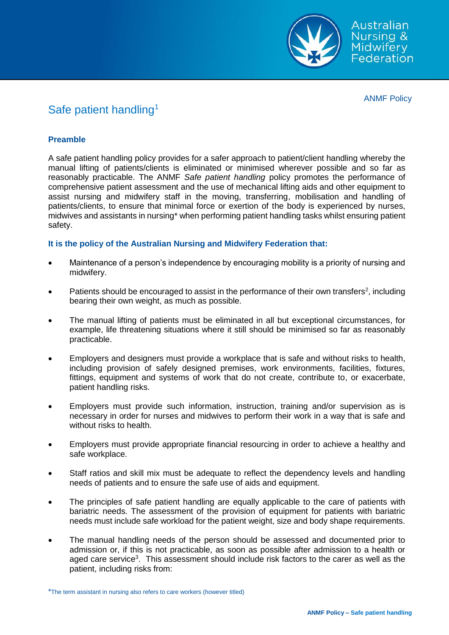

ANMF Policy

# Safe patient handling<sup>1</sup>

## **Preamble**

A safe patient handling policy provides for a safer approach to patient/client handling whereby the manual lifting of patients/clients is eliminated or minimised wherever possible and so far as reasonably practicable. The ANMF *Safe patient handling* policy promotes the performance of comprehensive patient assessment and the use of mechanical lifting aids and other equipment to assist nursing and midwifery staff in the moving, transferring, mobilisation and handling of patients/clients, to ensure that minimal force or exertion of the body is experienced by nurses, midwives and assistants in nursing\* when performing patient handling tasks whilst ensuring patient safety.

### **It is the policy of the Australian Nursing and Midwifery Federation that:**

- Maintenance of a person's independence by encouraging mobility is a priority of nursing and midwifery.
- Patients should be encouraged to assist in the performance of their own transfers<sup>2</sup>, including bearing their own weight, as much as possible.
- The manual lifting of patients must be eliminated in all but exceptional circumstances, for example, life threatening situations where it still should be minimised so far as reasonably practicable.
- Employers and designers must provide a workplace that is safe and without risks to health, including provision of safely designed premises, work environments, facilities, fixtures, fittings, equipment and systems of work that do not create, contribute to, or exacerbate, patient handling risks.
- Employers must provide such information, instruction, training and/or supervision as is necessary in order for nurses and midwives to perform their work in a way that is safe and without risks to health.
- Employers must provide appropriate financial resourcing in order to achieve a healthy and safe workplace.
- Staff ratios and skill mix must be adequate to reflect the dependency levels and handling needs of patients and to ensure the safe use of aids and equipment.
- The principles of safe patient handling are equally applicable to the care of patients with bariatric needs. The assessment of the provision of equipment for patients with bariatric needs must include safe workload for the patient weight, size and body shape requirements.
- The manual handling needs of the person should be assessed and documented prior to admission or, if this is not practicable, as soon as possible after admission to a health or aged care service<sup>3</sup>. This assessment should include risk factors to the carer as well as the patient, including risks from:

<sup>\*</sup>The term assistant in nursing also refers to care workers (however titled)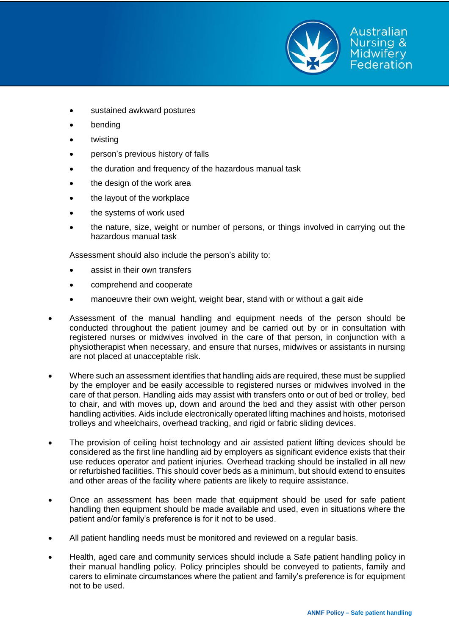

- sustained awkward postures
- bending
- twisting
- person's previous history of falls
- the duration and frequency of the hazardous manual task
- the design of the work area
- the layout of the workplace
- the systems of work used
- the nature, size, weight or number of persons, or things involved in carrying out the hazardous manual task

Assessment should also include the person's ability to:

- assist in their own transfers
- comprehend and cooperate
- manoeuvre their own weight, weight bear, stand with or without a gait aide
- Assessment of the manual handling and equipment needs of the person should be conducted throughout the patient journey and be carried out by or in consultation with registered nurses or midwives involved in the care of that person, in conjunction with a physiotherapist when necessary, and ensure that nurses, midwives or assistants in nursing are not placed at unacceptable risk.
- Where such an assessment identifies that handling aids are required, these must be supplied by the employer and be easily accessible to registered nurses or midwives involved in the care of that person. Handling aids may assist with transfers onto or out of bed or trolley, bed to chair, and with moves up, down and around the bed and they assist with other person handling activities. Aids include electronically operated lifting machines and hoists, motorised trolleys and wheelchairs, overhead tracking, and rigid or fabric sliding devices.
- The provision of ceiling hoist technology and air assisted patient lifting devices should be considered as the first line handling aid by employers as significant evidence exists that their use reduces operator and patient injuries. Overhead tracking should be installed in all new or refurbished facilities. This should cover beds as a minimum, but should extend to ensuites and other areas of the facility where patients are likely to require assistance.
- Once an assessment has been made that equipment should be used for safe patient handling then equipment should be made available and used, even in situations where the patient and/or family's preference is for it not to be used.
- All patient handling needs must be monitored and reviewed on a regular basis.
- Health, aged care and community services should include a Safe patient handling policy in their manual handling policy. Policy principles should be conveyed to patients, family and carers to eliminate circumstances where the patient and family's preference is for equipment not to be used.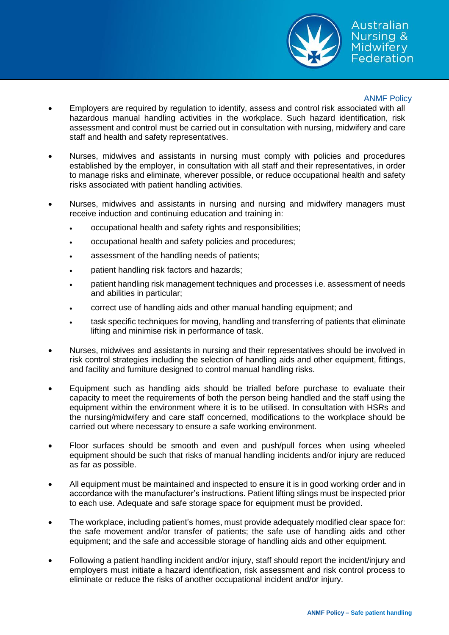

#### ANMF Policy

- Employers are required by regulation to identify, assess and control risk associated with all hazardous manual handling activities in the workplace. Such hazard identification, risk assessment and control must be carried out in consultation with nursing, midwifery and care staff and health and safety representatives.
- Nurses, midwives and assistants in nursing must comply with policies and procedures established by the employer, in consultation with all staff and their representatives, in order to manage risks and eliminate, wherever possible, or reduce occupational health and safety risks associated with patient handling activities.
- Nurses, midwives and assistants in nursing and nursing and midwifery managers must receive induction and continuing education and training in:
	- occupational health and safety rights and responsibilities;
	- occupational health and safety policies and procedures;
	- assessment of the handling needs of patients;
	- patient handling risk factors and hazards;
	- patient handling risk management techniques and processes i.e. assessment of needs and abilities in particular;
	- correct use of handling aids and other manual handling equipment; and
	- task specific techniques for moving, handling and transferring of patients that eliminate lifting and minimise risk in performance of task.
- Nurses, midwives and assistants in nursing and their representatives should be involved in risk control strategies including the selection of handling aids and other equipment, fittings, and facility and furniture designed to control manual handling risks.
- Equipment such as handling aids should be trialled before purchase to evaluate their capacity to meet the requirements of both the person being handled and the staff using the equipment within the environment where it is to be utilised. In consultation with HSRs and the nursing/midwifery and care staff concerned, modifications to the workplace should be carried out where necessary to ensure a safe working environment.
- Floor surfaces should be smooth and even and push/pull forces when using wheeled equipment should be such that risks of manual handling incidents and/or injury are reduced as far as possible.
- All equipment must be maintained and inspected to ensure it is in good working order and in accordance with the manufacturer's instructions. Patient lifting slings must be inspected prior to each use. Adequate and safe storage space for equipment must be provided.
- The workplace, including patient's homes, must provide adequately modified clear space for: the safe movement and/or transfer of patients; the safe use of handling aids and other equipment; and the safe and accessible storage of handling aids and other equipment.
- Following a patient handling incident and/or injury, staff should report the incident/injury and employers must initiate a hazard identification, risk assessment and risk control process to eliminate or reduce the risks of another occupational incident and/or injury.